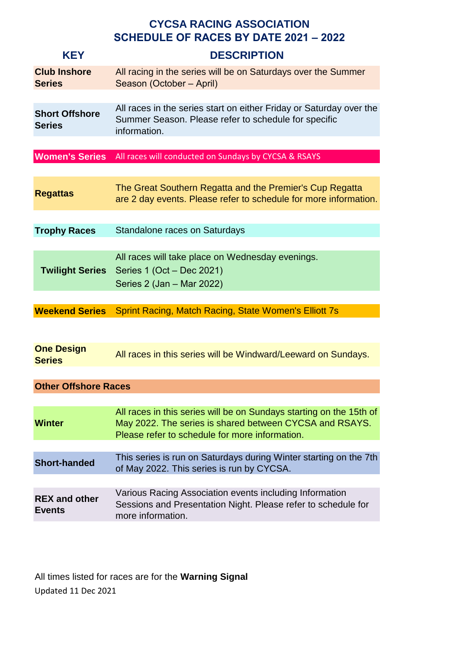| <b>KEY</b>                             | <b>CYCSA RACING ASSOCIATION</b><br><b>SCHEDULE OF RACES BY DATE 2021 - 2022</b><br><b>DESCRIPTION</b>                                                                            |
|----------------------------------------|----------------------------------------------------------------------------------------------------------------------------------------------------------------------------------|
| <b>Club Inshore</b><br><b>Series</b>   | All racing in the series will be on Saturdays over the Summer<br>Season (October - April)                                                                                        |
| <b>Short Offshore</b><br><b>Series</b> | All races in the series start on either Friday or Saturday over the<br>Summer Season. Please refer to schedule for specific<br>information.                                      |
| <b>Women's Series</b>                  | All races will conducted on Sundays by CYCSA & RSAYS                                                                                                                             |
| <b>Regattas</b>                        | The Great Southern Regatta and the Premier's Cup Regatta<br>are 2 day events. Please refer to schedule for more information.                                                     |
| <b>Trophy Races</b>                    | Standalone races on Saturdays                                                                                                                                                    |
| <b>Twilight Series</b>                 | All races will take place on Wednesday evenings.<br>Series 1 (Oct - Dec 2021)<br>Series 2 (Jan - Mar 2022)                                                                       |
| <b>Weekend Series</b>                  | Sprint Racing, Match Racing, State Women's Elliott 7s                                                                                                                            |
|                                        |                                                                                                                                                                                  |
| <b>One Design</b><br><b>Series</b>     | All races in this series will be Windward/Leeward on Sundays.                                                                                                                    |
| <b>Other Offshore Races</b>            |                                                                                                                                                                                  |
| <b>Winter</b>                          | All races in this series will be on Sundays starting on the 15th of<br>May 2022. The series is shared between CYCSA and RSAYS.<br>Please refer to schedule for more information. |
| <b>Short-handed</b>                    | This series is run on Saturdays during Winter starting on the 7th<br>of May 2022. This series is run by CYCSA.                                                                   |
| <b>REX and other</b><br><b>Events</b>  | Various Racing Association events including Information<br>Sessions and Presentation Night. Please refer to schedule for<br>more information.                                    |

All times listed for races are for the **Warning Signal** Updated 11 Dec 2021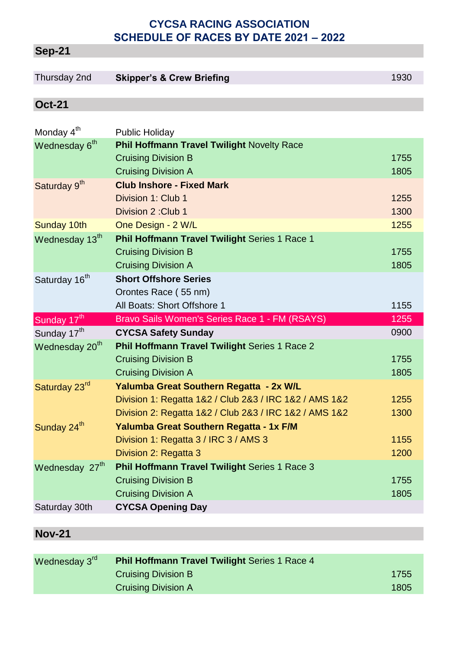# **Sep-21**

# Thursday 2nd **Skipper's & Crew Briefing 1930 1930**

#### **Oct-21**

| Monday 4 <sup>th</sup>     | <b>Public Holiday</b>                                  |      |
|----------------------------|--------------------------------------------------------|------|
| Wednesday 6 <sup>th</sup>  | Phil Hoffmann Travel Twilight Novelty Race             |      |
|                            | <b>Cruising Division B</b>                             | 1755 |
|                            | <b>Cruising Division A</b>                             | 1805 |
| Saturday 9 <sup>th</sup>   | <b>Club Inshore - Fixed Mark</b>                       |      |
|                            | Division 1: Club 1                                     | 1255 |
|                            | Division 2: Club 1                                     | 1300 |
| Sunday 10th                | One Design - 2 W/L                                     | 1255 |
| Wednesday 13th             | Phil Hoffmann Travel Twilight Series 1 Race 1          |      |
|                            | <b>Cruising Division B</b>                             | 1755 |
|                            | <b>Cruising Division A</b>                             | 1805 |
| Saturday 16 <sup>th</sup>  | <b>Short Offshore Series</b>                           |      |
|                            | Orontes Race (55 nm)                                   |      |
|                            | All Boats: Short Offshore 1                            | 1155 |
|                            |                                                        |      |
| Sunday 17th                | Bravo Sails Women's Series Race 1 - FM (RSAYS)         | 1255 |
| Sunday 17 <sup>th</sup>    | <b>CYCSA Safety Sunday</b>                             | 0900 |
| Wednesday 20 <sup>th</sup> | Phil Hoffmann Travel Twilight Series 1 Race 2          |      |
|                            | <b>Cruising Division B</b>                             | 1755 |
|                            | <b>Cruising Division A</b>                             | 1805 |
| Saturday 23rd              | Yalumba Great Southern Regatta - 2x W/L                |      |
|                            | Division 1: Regatta 1&2 / Club 2&3 / IRC 1&2 / AMS 1&2 | 1255 |
|                            | Division 2: Regatta 1&2 / Club 2&3 / IRC 1&2 / AMS 1&2 | 1300 |
| Sunday 24 <sup>th</sup>    | Yalumba Great Southern Regatta - 1x F/M                |      |
|                            | Division 1: Regatta 3 / IRC 3 / AMS 3                  | 1155 |
|                            | Division 2: Regatta 3                                  | 1200 |
| Wednesday 27 <sup>th</sup> | <b>Phil Hoffmann Travel Twilight Series 1 Race 3</b>   |      |
|                            | <b>Cruising Division B</b>                             | 1755 |
| Saturday 30th              | <b>Cruising Division A</b><br><b>CYCSA Opening Day</b> | 1805 |

## **Nov-21**

| Wednesday 3 <sup>rd</sup> | <b>Phil Hoffmann Travel Twilight Series 1 Race 4</b> |      |
|---------------------------|------------------------------------------------------|------|
|                           | <b>Cruising Division B</b>                           | 1755 |
|                           | <b>Cruising Division A</b>                           | 1805 |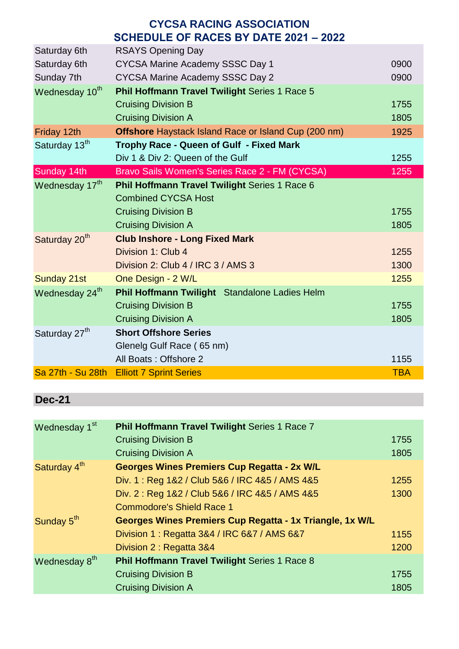| <b>CYCSA RACING ASSOCIATION</b>              |                                                             |            |
|----------------------------------------------|-------------------------------------------------------------|------------|
| <b>SCHEDULE OF RACES BY DATE 2021 - 2022</b> |                                                             |            |
| Saturday 6th                                 | <b>RSAYS Opening Day</b>                                    |            |
| Saturday 6th                                 | <b>CYCSA Marine Academy SSSC Day 1</b>                      | 0900       |
| Sunday 7th                                   | <b>CYCSA Marine Academy SSSC Day 2</b>                      | 0900       |
| Wednesday 10th                               | Phil Hoffmann Travel Twilight Series 1 Race 5               |            |
|                                              | <b>Cruising Division B</b>                                  | 1755       |
|                                              | <b>Cruising Division A</b>                                  | 1805       |
| Friday 12th                                  | <b>Offshore Haystack Island Race or Island Cup (200 nm)</b> | 1925       |
| Saturday 13 <sup>th</sup>                    | Trophy Race - Queen of Gulf - Fixed Mark                    |            |
|                                              | Div 1 & Div 2: Queen of the Gulf                            | 1255       |
| Sunday 14th                                  | Bravo Sails Women's Series Race 2 - FM (CYCSA)              | 1255       |
| Wednesday 17th                               | Phil Hoffmann Travel Twilight Series 1 Race 6               |            |
|                                              | <b>Combined CYCSA Host</b>                                  |            |
|                                              | <b>Cruising Division B</b>                                  | 1755       |
|                                              | <b>Cruising Division A</b>                                  | 1805       |
| Saturday 20 <sup>th</sup>                    | <b>Club Inshore - Long Fixed Mark</b>                       |            |
|                                              | Division 1: Club 4                                          | 1255       |
|                                              | Division 2: Club 4 / IRC 3 / AMS 3                          | 1300       |
| Sunday 21st                                  | One Design - 2 W/L                                          | 1255       |
| Wednesday 24 <sup>th</sup>                   | Phil Hoffmann Twilight Standalone Ladies Helm               |            |
|                                              | <b>Cruising Division B</b>                                  | 1755       |
|                                              | <b>Cruising Division A</b>                                  | 1805       |
| Saturday 27 <sup>th</sup>                    | <b>Short Offshore Series</b>                                |            |
|                                              | Glenelg Gulf Race (65 nm)                                   |            |
|                                              | All Boats: Offshore 2                                       | 1155       |
| Sa 27th - Su 28th                            | <b>Elliott 7 Sprint Series</b>                              | <b>TBA</b> |

# **Dec-21**

| Wednesday 1 <sup>st</sup> | Phil Hoffmann Travel Twilight Series 1 Race 7            |      |
|---------------------------|----------------------------------------------------------|------|
|                           | <b>Cruising Division B</b>                               | 1755 |
|                           | <b>Cruising Division A</b>                               | 1805 |
| Saturday 4 <sup>th</sup>  | Georges Wines Premiers Cup Regatta - 2x W/L              |      |
|                           | Div. 1: Reg 1&2 / Club 5&6 / IRC 4&5 / AMS 4&5           | 1255 |
|                           | Div. 2: Reg 1&2 / Club 5&6 / IRC 4&5 / AMS 4&5           | 1300 |
|                           | <b>Commodore's Shield Race 1</b>                         |      |
| Sunday 5 <sup>th</sup>    | Georges Wines Premiers Cup Regatta - 1x Triangle, 1x W/L |      |
|                           | Division 1 : Regatta 3&4 / IRC 6&7 / AMS 6&7             | 1155 |
|                           | Division 2 : Regatta 3&4                                 | 1200 |
| Wednesday 8 <sup>th</sup> | <b>Phil Hoffmann Travel Twilight Series 1 Race 8</b>     |      |
|                           | <b>Cruising Division B</b>                               | 1755 |
|                           | <b>Cruising Division A</b>                               | 1805 |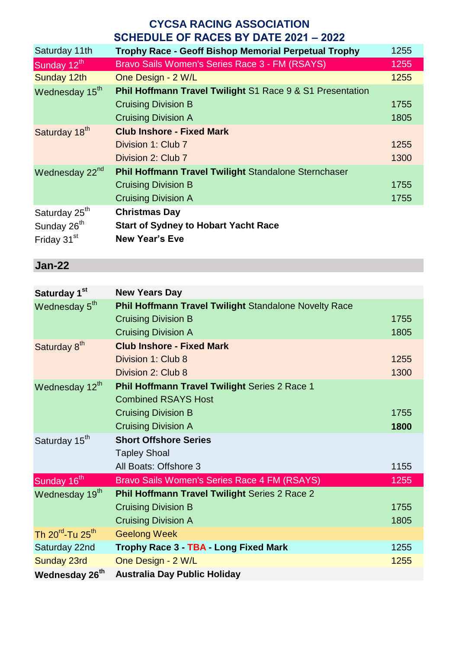| Saturday 11th              | <b>Trophy Race - Geoff Bishop Memorial Perpetual Trophy</b>          | 1255 |
|----------------------------|----------------------------------------------------------------------|------|
| Sunday 12 <sup>th</sup>    | Bravo Sails Women's Series Race 3 - FM (RSAYS)                       | 1255 |
| Sunday 12th                | One Design - 2 W/L                                                   | 1255 |
| Wednesday 15 <sup>th</sup> | <b>Phil Hoffmann Travel Twilight S1 Race 9 &amp; S1 Presentation</b> |      |
|                            | <b>Cruising Division B</b>                                           | 1755 |
|                            | <b>Cruising Division A</b>                                           | 1805 |
| Saturday 18 <sup>th</sup>  | <b>Club Inshore - Fixed Mark</b>                                     |      |
|                            | Division 1: Club 7                                                   | 1255 |
|                            | Division 2: Club 7                                                   | 1300 |
| Wednesday 22 <sup>nd</sup> | <b>Phil Hoffmann Travel Twilight Standalone Sternchaser</b>          |      |
|                            | <b>Cruising Division B</b>                                           | 1755 |
|                            | <b>Cruising Division A</b>                                           | 1755 |
| Saturday 25 <sup>th</sup>  | <b>Christmas Day</b>                                                 |      |
| Sunday 26 <sup>th</sup>    | <b>Start of Sydney to Hobart Yacht Race</b>                          |      |
| Friday 31 <sup>st</sup>    | <b>New Year's Eve</b>                                                |      |
|                            |                                                                      |      |

## **Jan-22**

| Saturday 1 <sup>st</sup>                 | <b>New Years Day</b>                                         |      |
|------------------------------------------|--------------------------------------------------------------|------|
| Wednesday 5 <sup>th</sup>                | <b>Phil Hoffmann Travel Twilight Standalone Novelty Race</b> |      |
|                                          | <b>Cruising Division B</b>                                   | 1755 |
|                                          | <b>Cruising Division A</b>                                   | 1805 |
| Saturday 8 <sup>th</sup>                 | <b>Club Inshore - Fixed Mark</b>                             |      |
|                                          | Division 1: Club 8                                           | 1255 |
|                                          | Division 2: Club 8                                           | 1300 |
| Wednesday 12th                           | Phil Hoffmann Travel Twilight Series 2 Race 1                |      |
|                                          | <b>Combined RSAYS Host</b>                                   |      |
|                                          | <b>Cruising Division B</b>                                   | 1755 |
|                                          | <b>Cruising Division A</b>                                   | 1800 |
| Saturday 15 <sup>th</sup>                | <b>Short Offshore Series</b>                                 |      |
|                                          | <b>Tapley Shoal</b>                                          |      |
|                                          | All Boats: Offshore 3                                        | 1155 |
| Sunday 16 <sup>th</sup>                  | Bravo Sails Women's Series Race 4 FM (RSAYS)                 | 1255 |
| Wednesday 19 <sup>th</sup>               | <b>Phil Hoffmann Travel Twilight Series 2 Race 2</b>         |      |
|                                          | <b>Cruising Division B</b>                                   | 1755 |
|                                          | <b>Cruising Division A</b>                                   | 1805 |
| Th 20 <sup>rd</sup> -Tu 25 <sup>th</sup> | <b>Geelong Week</b>                                          |      |
| Saturday 22nd                            | Trophy Race 3 - TBA Long Fixed Mark                          | 1255 |
| Sunday 23rd                              | One Design - 2 W/L                                           | 1255 |
| Wednesday 26 <sup>th</sup>               | <b>Australia Day Public Holiday</b>                          |      |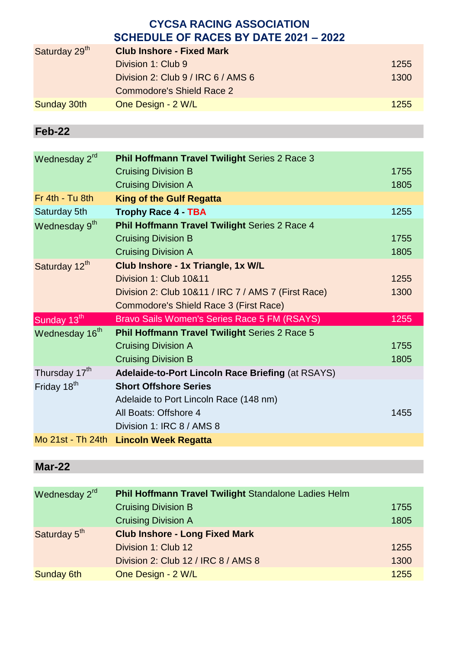| Saturday 29th      | <b>Club Inshore - Fixed Mark</b>   |      |
|--------------------|------------------------------------|------|
|                    | Division 1: Club 9                 | 1255 |
|                    | Division 2: Club 9 / IRC 6 / AMS 6 | 1300 |
|                    | Commodore's Shield Race 2          |      |
| <b>Sunday 30th</b> | One Design - 2 W/L                 | 1255 |
|                    |                                    |      |

## **Feb-22**

| Wednesday 2rd              | Phil Hoffmann Travel Twilight Series 2 Race 3        |      |
|----------------------------|------------------------------------------------------|------|
|                            | <b>Cruising Division B</b>                           | 1755 |
|                            | <b>Cruising Division A</b>                           | 1805 |
| Fr 4th - Tu 8th            | <b>King of the Gulf Regatta</b>                      |      |
| Saturday 5th               | <b>Trophy Race 4 - TBA</b>                           | 1255 |
| Wednesday 9th              | <b>Phil Hoffmann Travel Twilight Series 2 Race 4</b> |      |
|                            | <b>Cruising Division B</b>                           | 1755 |
|                            | <b>Cruising Division A</b>                           | 1805 |
| Saturday 12 <sup>th</sup>  | Club Inshore - 1x Triangle, 1x W/L                   |      |
|                            | Division 1: Club 10&11                               | 1255 |
|                            | Division 2: Club 10&11 / IRC 7 / AMS 7 (First Race)  | 1300 |
|                            | Commodore's Shield Race 3 (First Race)               |      |
| Sunday 13 <sup>th</sup>    | Bravo Sails Women's Series Race 5 FM (RSAYS)         | 1255 |
| Wednesday 16 <sup>th</sup> | <b>Phil Hoffmann Travel Twilight Series 2 Race 5</b> |      |
|                            | <b>Cruising Division A</b>                           | 1755 |
|                            | <b>Cruising Division B</b>                           | 1805 |
| Thursday 17 <sup>th</sup>  | Adelaide-to-Port Lincoln Race Briefing (at RSAYS)    |      |
| Friday 18 <sup>th</sup>    | <b>Short Offshore Series</b>                         |      |
|                            | Adelaide to Port Lincoln Race (148 nm)               |      |
|                            | All Boats: Offshore 4                                | 1455 |
|                            | Division 1: IRC 8 / AMS 8                            |      |
| Mo 21st - Th 24th          | <b>Lincoln Week Regatta</b>                          |      |

# **Mar-22**

| Wednesday 2rd            | Phil Hoffmann Travel Twilight Standalone Ladies Helm |      |
|--------------------------|------------------------------------------------------|------|
|                          | <b>Cruising Division B</b>                           | 1755 |
|                          | <b>Cruising Division A</b>                           | 1805 |
| Saturday 5 <sup>th</sup> | <b>Club Inshore - Long Fixed Mark</b>                |      |
|                          | Division 1: Club 12                                  | 1255 |
|                          | Division 2: Club 12 / IRC 8 / AMS 8                  | 1300 |
| <b>Sunday 6th</b>        | One Design - 2 W/L                                   | 1255 |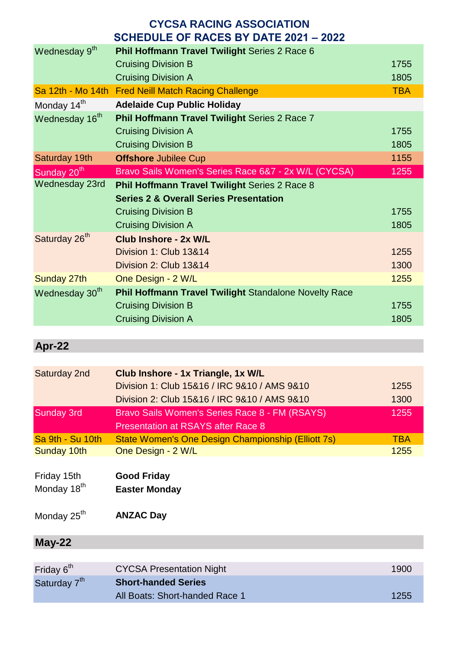|                            | 1911 - 1912 - 1914 - 1914 - 1924 - 1924 - 1924 - 1924 - 1924 - 1924 - 1924 - 1924 - 1925 - 1927 - 19 |            |
|----------------------------|------------------------------------------------------------------------------------------------------|------------|
| Wednesday 9 <sup>th</sup>  | Phil Hoffmann Travel Twilight Series 2 Race 6                                                        |            |
|                            | <b>Cruising Division B</b>                                                                           | 1755       |
|                            | <b>Cruising Division A</b>                                                                           | 1805       |
|                            | Sa 12th - Mo 14th Fred Neill Match Racing Challenge                                                  | <b>TBA</b> |
| Monday 14 <sup>th</sup>    | <b>Adelaide Cup Public Holiday</b>                                                                   |            |
| Wednesday 16 <sup>th</sup> | Phil Hoffmann Travel Twilight Series 2 Race 7                                                        |            |
|                            | <b>Cruising Division A</b>                                                                           | 1755       |
|                            | <b>Cruising Division B</b>                                                                           | 1805       |
| Saturday 19th              | <b>Offshore Jubilee Cup</b>                                                                          | 1155       |
| Sunday 20 <sup>th</sup>    | Bravo Sails Women's Series Race 6&7 - 2x W/L (CYCSA)                                                 | 1255       |
| Wednesday 23rd             | <b>Phil Hoffmann Travel Twilight Series 2 Race 8</b>                                                 |            |
|                            | <b>Series 2 &amp; Overall Series Presentation</b>                                                    |            |
|                            | <b>Cruising Division B</b>                                                                           | 1755       |
|                            | <b>Cruising Division A</b>                                                                           | 1805       |
| Saturday 26 <sup>th</sup>  | <b>Club Inshore - 2x W/L</b>                                                                         |            |
|                            | Division 1: Club 13&14                                                                               | 1255       |
|                            | Division 2: Club 13&14                                                                               | 1300       |
| Sunday 27th                | One Design - 2 W/L                                                                                   | 1255       |
| Wednesday 30 <sup>th</sup> | <b>Phil Hoffmann Travel Twilight Standalone Novelty Race</b>                                         |            |
|                            | <b>Cruising Division B</b>                                                                           | 1755       |
|                            | <b>Cruising Division A</b>                                                                           | 1805       |
|                            |                                                                                                      |            |

# **Apr-22**

| Saturday 2nd            | Club Inshore - 1x Triangle, 1x W/L                 |            |
|-------------------------|----------------------------------------------------|------------|
|                         | Division 1: Club 15&16 / IRC 9&10 / AMS 9&10       | 1255       |
|                         | Division 2: Club 15&16 / IRC 9&10 / AMS 9&10       | 1300       |
| <b>Sunday 3rd</b>       | Bravo Sails Women's Series Race 8 - FM (RSAYS)     | 1255       |
|                         | <b>Presentation at RSAYS after Race 8</b>          |            |
| Sa 9th - Su 10th        | State Women's One Design Championship (Elliott 7s) | <b>TBA</b> |
| Sunday 10th             | One Design - 2 W/L                                 | 1255       |
|                         |                                                    |            |
| Friday 15th             | <b>Good Friday</b>                                 |            |
| Monday 18 <sup>th</sup> | <b>Easter Monday</b>                               |            |
|                         |                                                    |            |
| Monday 25 <sup>th</sup> | <b>ANZAC Day</b>                                   |            |
|                         |                                                    |            |

## **May-22**

| Friday 6 <sup>th</sup>   | <b>CYCSA Presentation Night</b> | 1900 |
|--------------------------|---------------------------------|------|
| Saturday 7 <sup>th</sup> | <b>Short-handed Series</b>      |      |
|                          | All Boats: Short-handed Race 1  | 1255 |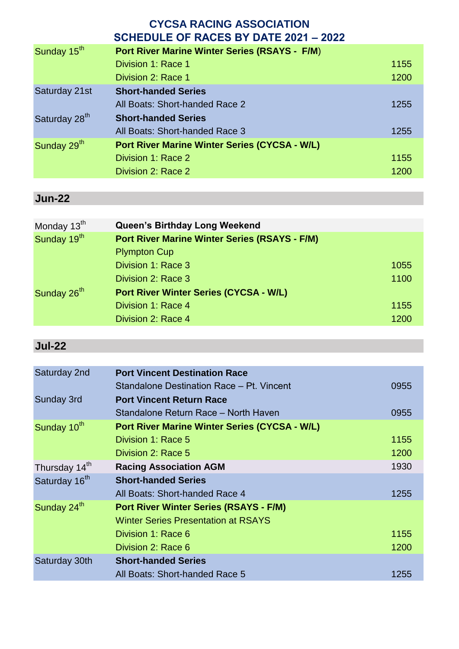|                           | <b>CYCSA RACING ASSOCIATION</b><br><b>SCHEDULE OF RACES BY DATE 2021 - 2022</b> |      |
|---------------------------|---------------------------------------------------------------------------------|------|
| Sunday 15 <sup>th</sup>   | <b>Port River Marine Winter Series (RSAYS - F/M)</b>                            |      |
|                           | Division 1: Race 1                                                              | 1155 |
|                           | Division 2: Race 1                                                              | 1200 |
| Saturday 21st             | <b>Short-handed Series</b>                                                      |      |
|                           | All Boats: Short-handed Race 2                                                  | 1255 |
| Saturday 28 <sup>th</sup> | <b>Short-handed Series</b>                                                      |      |
|                           | All Boats: Short-handed Race 3                                                  | 1255 |
| Sunday 29 <sup>th</sup>   | <b>Port River Marine Winter Series (CYCSA - W/L)</b>                            |      |
|                           | Division 1: Race 2                                                              | 1155 |
|                           | Division 2: Race 2                                                              | 1200 |

# **Jun-22**

| Queen's Birthday Long Weekend                        |      |
|------------------------------------------------------|------|
| <b>Port River Marine Winter Series (RSAYS - F/M)</b> |      |
| <b>Plympton Cup</b>                                  |      |
| Division 1: Race 3                                   | 1055 |
| Division 2: Race 3                                   | 1100 |
| <b>Port River Winter Series (CYCSA - W/L)</b>        |      |
| Division 1: Race 4                                   | 1155 |
| Division 2: Race 4                                   | 1200 |
|                                                      |      |

# **Jul-22**

| <b>Port Vincent Destination Race</b>                 |      |
|------------------------------------------------------|------|
| Standalone Destination Race - Pt. Vincent            | 0955 |
| <b>Port Vincent Return Race</b>                      |      |
| Standalone Return Race - North Haven                 | 0955 |
| <b>Port River Marine Winter Series (CYCSA - W/L)</b> |      |
| Division 1: Race 5                                   | 1155 |
| Division 2: Race 5                                   | 1200 |
| <b>Racing Association AGM</b>                        | 1930 |
| <b>Short-handed Series</b>                           |      |
| All Boats: Short-handed Race 4                       | 1255 |
| <b>Port River Winter Series (RSAYS - F/M)</b>        |      |
| <b>Winter Series Presentation at RSAYS</b>           |      |
| Division 1: Race 6                                   | 1155 |
| Division 2: Race 6                                   | 1200 |
| <b>Short-handed Series</b>                           |      |
| All Boats: Short-handed Race 5                       | 1255 |
|                                                      |      |